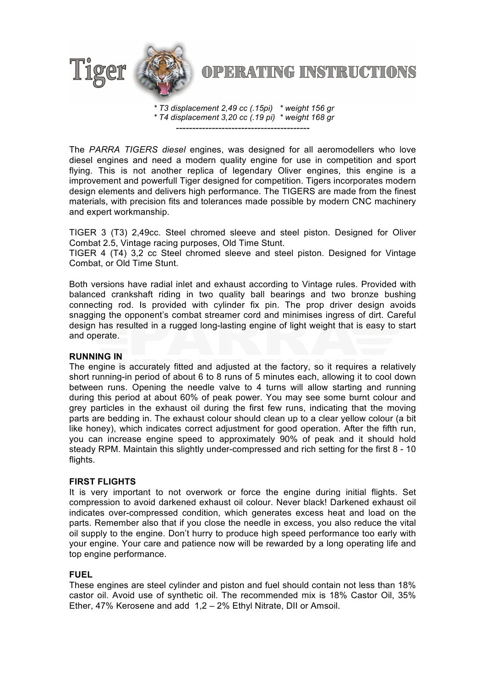

# **OPERATING INSTRUCTIONS**

*\* T3 displacement 2,49 cc (.15pi) \* weight 156 gr \* T4 displacement 3,20 cc (.19 pi) \* weight 168 gr -----------------------------------------*

The *PARRA TIGERS diesel* engines, was designed for all aeromodellers who love diesel engines and need a modern quality engine for use in competition and sport flying. This is not another replica of legendary Oliver engines, this engine is a improvement and powerfull Tiger designed for competition. Tigers incorporates modern design elements and delivers high performance. The TIGERS are made from the finest materials, with precision fits and tolerances made possible by modern CNC machinery and expert workmanship.

TIGER 3 (T3) 2,49cc. Steel chromed sleeve and steel piston. Designed for Oliver Combat 2.5, Vintage racing purposes, Old Time Stunt.

TIGER 4 (T4) 3,2 cc Steel chromed sleeve and steel piston. Designed for Vintage Combat, or Old Time Stunt.

Both versions have radial inlet and exhaust according to Vintage rules. Provided with balanced crankshaft riding in two quality ball bearings and two bronze bushing connecting rod. Is provided with cylinder fix pin. The prop driver design avoids snagging the opponent's combat streamer cord and minimises ingress of dirt. Careful design has resulted in a rugged long-lasting engine of light weight that is easy to start and operate.

#### **RUNNING IN**

The engine is accurately fitted and adjusted at the factory, so it requires a relatively short running-in period of about 6 to 8 runs of 5 minutes each, allowing it to cool down between runs. Opening the needle valve to 4 turns will allow starting and running during this period at about 60% of peak power. You may see some burnt colour and grey particles in the exhaust oil during the first few runs, indicating that the moving parts are bedding in. The exhaust colour should clean up to a clear yellow colour (a bit like honey), which indicates correct adjustment for good operation. After the fifth run, you can increase engine speed to approximately 90% of peak and it should hold steady RPM. Maintain this slightly under-compressed and rich setting for the first 8 - 10 flights.

## **FIRST FLIGHTS**

It is very important to not overwork or force the engine during initial flights. Set compression to avoid darkened exhaust oil colour. Never black! Darkened exhaust oil indicates over-compressed condition, which generates excess heat and load on the parts. Remember also that if you close the needle in excess, you also reduce the vital oil supply to the engine. Don't hurry to produce high speed performance too early with your engine. Your care and patience now will be rewarded by a long operating life and top engine performance.

## **FUEL**

These engines are steel cylinder and piston and fuel should contain not less than 18% castor oil. Avoid use of synthetic oil. The recommended mix is 18% Castor Oil, 35% Ether, 47% Kerosene and add 1,2 – 2% Ethyl Nitrate, DII or Amsoil.